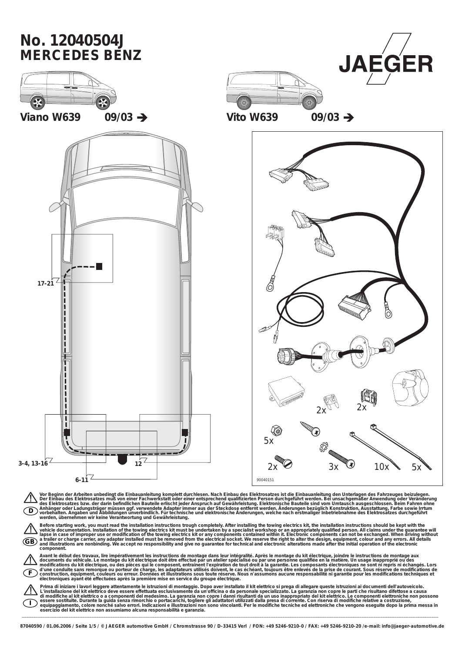

Sefore starting work, you must read the installation instructions trough completely. After installation instructions through completed by a specialist workshop or an appropriately qualified person. All claims under the gua **component.**

Avant le début des travaux, lire impérativement les instructions de montage dans leur intégralité. Après le montage du kit électrique, joindre le instructions de montage aux<br>documents du véhicule. Le montage du kit électri

**F**

**I**

Prima di iniziare i lavori leggere attentamente le istruzioni di montaggio. Dopo aver installato il kit elettrico si prega di allegare queste istruzioni ai documenti dell'autoveicolo.<br>L'installazione del kit elettrico deve

\_\_\_\_\_\_\_\_\_\_\_\_\_\_\_\_\_\_\_\_\_\_\_\_\_\_\_\_\_\_\_\_\_\_\_\_\_\_\_\_\_\_\_\_\_\_\_\_\_\_\_\_\_\_\_\_\_\_\_\_\_\_\_\_\_\_\_\_\_\_\_\_\_\_\_\_\_\_\_\_\_\_\_\_\_\_\_\_\_\_\_\_\_\_\_\_\_\_\_\_\_\_\_\_\_\_\_\_\_\_\_\_\_\_\_\_\_\_\_\_\_\_\_\_\_\_\_\_\_\_\_\_\_\_\_\_\_\_\_\_\_\_\_\_\_\_\_\_\_\_\_\_\_\_\_\_\_\_\_\_\_\_\_\_\_\_\_\_\_\_\_\_\_\_\_\_\_\_\_ **87040590 / 01.06.2006 / Seite 1/5 / © JAEGER automotive GmbH / Chromstrasse 90 / D-33415 Verl / FON: +49 5246-9210-0 / FAX: +49 5246-9210-20 /e-mail: info@jaeger-automotive.de**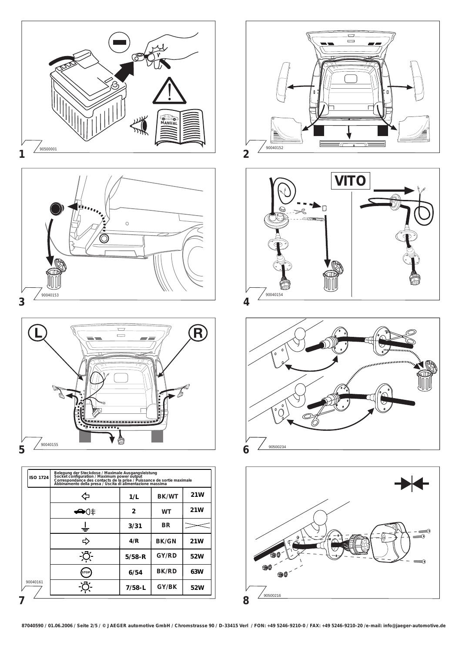

| ISO 1724 | belegung act bleekabse / maximule Ausgangsleistung<br>Socket configuration / Maximum power output<br>Correspondance des confacts de la prise / Puissance de sortie maximale<br>Abbinamento della presa / Uscita di alimentazione massima<br>Abbinamento della presa / Uscita di alimentazione |                |           |     |  |  |  |  |  |
|----------|-----------------------------------------------------------------------------------------------------------------------------------------------------------------------------------------------------------------------------------------------------------------------------------------------|----------------|-----------|-----|--|--|--|--|--|
|          |                                                                                                                                                                                                                                                                                               | 1/L            | 21W       |     |  |  |  |  |  |
|          | ⊙←                                                                                                                                                                                                                                                                                            | $\overline{c}$ | <b>WT</b> | 21W |  |  |  |  |  |
|          |                                                                                                                                                                                                                                                                                               | 3/31           | BR        |     |  |  |  |  |  |
|          |                                                                                                                                                                                                                                                                                               | 4/R            | BK/GN     | 21W |  |  |  |  |  |
|          |                                                                                                                                                                                                                                                                                               | $5/58 - R$     | GY/RD     | 52W |  |  |  |  |  |
|          | <b>STOP</b>                                                                                                                                                                                                                                                                                   | 6/54           | BK/RD     | 63W |  |  |  |  |  |
| 90040161 |                                                                                                                                                                                                                                                                                               | $7/58 - L$     | GY/BK     | 52W |  |  |  |  |  |









**87040590 / 01.06.2006 / Seite 2/5 / © JAEGER automotive GmbH / Chromstrasse 90 / D-33415 Verl / FON: +49 5246-9210-0 / FAX: +49 5246-9210-20 /e-mail: info@jaeger-automotive.de**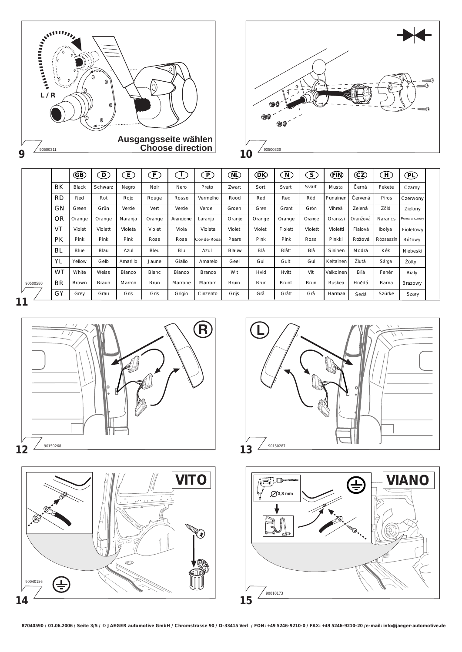



|          |           | GB)          | $\left( \mathbf{D}\right)$ | $\left[ \begin{smallmatrix} E\end{smallmatrix} \right]$ | F           | $\mathbf{I}$ | $\lceil P \rceil$ | (NL)         | <b>DR</b>   | $\left[\mathrm{N}\right]$ | $\left( S \right)$ | (FIN)     | (CZ)     | (H)            | $\bigoplus$    |
|----------|-----------|--------------|----------------------------|---------------------------------------------------------|-------------|--------------|-------------------|--------------|-------------|---------------------------|--------------------|-----------|----------|----------------|----------------|
|          | BK        | Black        | Schwarz                    | Negro                                                   | Noir        | Nero         | Preto             | Zwart        | Sort        | Svart                     | Svart              | Musta     | Cerná    | Fekete         | Czarny         |
|          | RD        | Red          | Rot                        | Rojo                                                    | Rouge       | Rosso        | Vermelho          | Rood         | Rød         | Rød                       | Röd                | Punainen  | Červená  | Piros          | Czerwony       |
|          | GN        | Green        | Grün                       | Verde                                                   | Vert        | Verde        | Verde             | Groen        | Grøn        | Grønt                     | Grön               | Vihreä    | Zelená   | Zöld           | Zielony        |
|          | <b>OR</b> | Orange       | Orange                     | Naranja                                                 | Orange      | Arancione    | Laranja           | Oranje       | Orange      | Orange                    | Orange             | Oranssi   | Oranžová | <b>Narancs</b> | Pomarańczowy   |
|          | <b>VT</b> | Violet       | Violett                    | Violeta                                                 | Violet      | Viola        | Violeta           | Violet       | Violet      | Fiolett                   | Violett            | Violetti  | Fialová  | Ibolya         | Fioletowy      |
|          | PK        | Pink         | Pink                       | Pink                                                    | Rose        | Rosa         | Cor-de-Rosa       | Paars        | Pink        | Pink                      | Rosa               | Pinkki    | Růžová   | Rózsaszín      | Różowy         |
|          | BL        | Blue         | Blau                       | Azul                                                    | Bleu        | Blu          | Azul              | Blauw        | Blà         | Blatt                     | Blà                | Sininen   | Modrá    | Kék            | Niebeski       |
|          | YL        | Yellow       | Gelb                       | Amarillo                                                | Jaune       | Giallo       | Amarelo           | Geel         | Gul         | Gult                      | Gul                | Keltainen | Žlutá    | Sárga          | Żólty          |
|          | <b>WT</b> | White        | Weiss                      | Blanco                                                  | Blanc       | Bianco       | <b>Branco</b>     | Wit          | Hvid        | Hvitt                     | Vit                | Valkoinen | Bílá     | Fehér          | Bialy          |
| 90500580 | <b>BR</b> | <b>Brown</b> | <b>Braun</b>               | Marrón                                                  | <b>Brun</b> | Marrone      | Marrom            | <b>Bruin</b> | <b>Brun</b> | <b>Brunt</b>              | <b>Brun</b>        | Ruskea    | Hnědá    | Barna          | <b>Brazowy</b> |
|          | GY        | Grey         | Grau                       | Gris                                                    | Gris        | Grigio       | Cinzento          | Grijs        | Grà         | Gratt                     | Grà                | Harmaa    | Šedá     | Szürke         | Szary          |
|          |           |              |                            |                                                         |             |              |                   |              |             |                           |                    |           |          |                |                |

**11**









**87040590 / 01.06.2006 / Seite 3/5 / © JAEGER automotive GmbH / Chromstrasse 90 / D-33415 Verl / FON: +49 5246-9210-0 / FAX: +49 5246-9210-20 /e-mail: info@jaeger-automotive.de**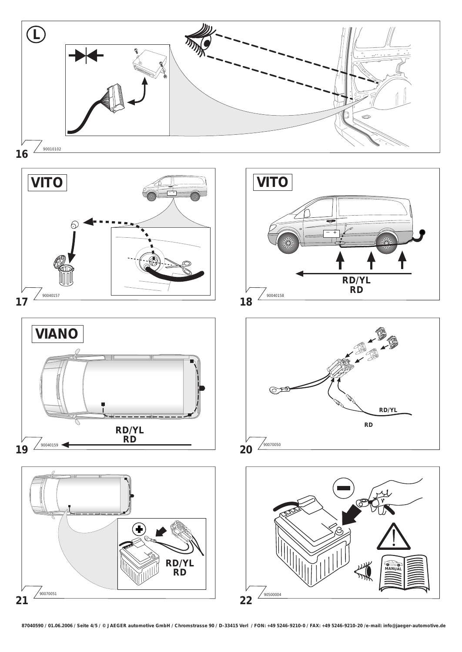